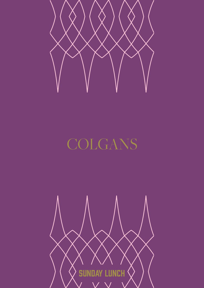

# COLGANS